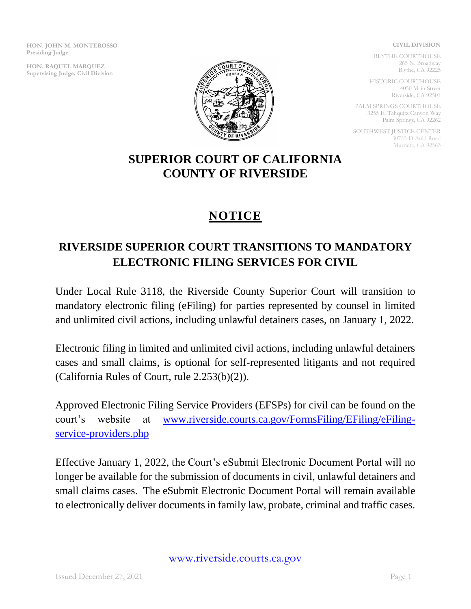**HON. JOHN M. MONTEROSSO Presiding Judge**

**HON. RAQUEL MARQUEZ Supervising Judge, Civil Division**



BLYTHE COURTHOUSE 265 N. Broadway Blythe, CA 92225

HISTORIC COURTHOUSE 4050 Main Street Riverside, CA 92501

PALM SPRINGS COURTHOUSE 3255 E. Tahquitz Canyon Way Palm Springs, CA 92262

SOUTHWEST JUSTICE CENTER 30755-D Auld Road Murrieta, CA 92563

## **SUPERIOR COURT OF CALIFORNIA COUNTY OF RIVERSIDE**

## **NOTICE**

## **RIVERSIDE SUPERIOR COURT TRANSITIONS TO MANDATORY ELECTRONIC FILING SERVICES FOR CIVIL**

Under Local Rule 3118, the Riverside County Superior Court will transition to mandatory electronic filing (eFiling) for parties represented by counsel in limited and unlimited civil actions, including unlawful detainers cases, on January 1, 2022.

Electronic filing in limited and unlimited civil actions, including unlawful detainers cases and small claims, is optional for self-represented litigants and not required (California Rules of Court, rule 2.253(b)(2)).

Approved Electronic Filing Service Providers (EFSPs) for civil can be found on the court's website at [www.riverside.courts.ca.gov/FormsFiling/EFiling/eFiling](http://www.riverside.courts.ca.gov/FormsFiling/EFiling/eFiling-service-providers.php)[service-providers.php](http://www.riverside.courts.ca.gov/FormsFiling/EFiling/eFiling-service-providers.php)

Effective January 1, 2022, the Court's eSubmit Electronic Document Portal will no longer be available for the submission of documents in civil, unlawful detainers and small claims cases. The eSubmit Electronic Document Portal will remain available to electronically deliver documents in family law, probate, criminal and traffic cases.

[www.riverside.courts.ca.gov](http://www.riverside.courts.ca.gov/)